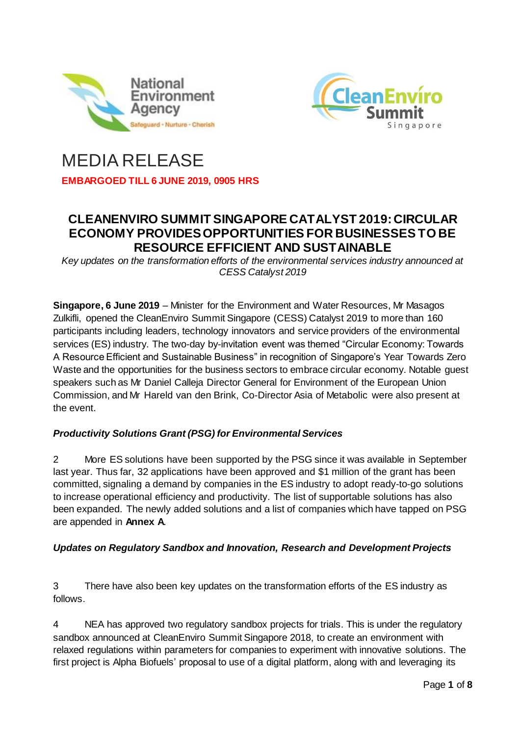



# MEDIA RELEASE

**EMBARGOED TILL 6 JUNE 2019, 0905 HRS**

# **CLEANENVIRO SUMMIT SINGAPORE CATALYST 2019: CIRCULAR ECONOMY PROVIDES OPPORTUNITIES FOR BUSINESSES TO BE RESOURCE EFFICIENT AND SUSTAINABLE**

*Key updates on the transformation efforts of the environmental services industry announced at CESS Catalyst 2019* 

**Singapore, 6 June 2019** – Minister for the Environment and Water Resources, Mr Masagos Zulkifli, opened the CleanEnviro Summit Singapore (CESS) Catalyst 2019 to more than 160 participants including leaders, technology innovators and service providers of the environmental services (ES) industry. The two-day by-invitation event was themed "Circular Economy: Towards A Resource Efficient and Sustainable Business" in recognition of Singapore's Year Towards Zero Waste and the opportunities for the business sectors to embrace circular economy. Notable guest speakers such as Mr Daniel Calleja Director General for Environment of the European Union Commission, and Mr Hareld van den Brink, Co-Director Asia of Metabolic were also present at the event.

# *Productivity Solutions Grant (PSG) for Environmental Services*

2 More ES solutions have been supported by the PSG since it was available in September last year. Thus far, 32 applications have been approved and \$1 million of the grant has been committed, signaling a demand by companies in the ES industry to adopt ready-to-go solutions to increase operational efficiency and productivity. The list of supportable solutions has also been expanded. The newly added solutions and a list of companies which have tapped on PSG are appended in **Annex A**.

# *Updates on Regulatory Sandbox and Innovation, Research and Development Projects*

3 There have also been key updates on the transformation efforts of the ES industry as follows.

4 NEA has approved two regulatory sandbox projects for trials. This is under the regulatory sandbox announced at CleanEnviro Summit Singapore 2018, to create an environment with relaxed regulations within parameters for companies to experiment with innovative solutions. The first project is Alpha Biofuels' proposal to use of a digital platform, along with and leveraging its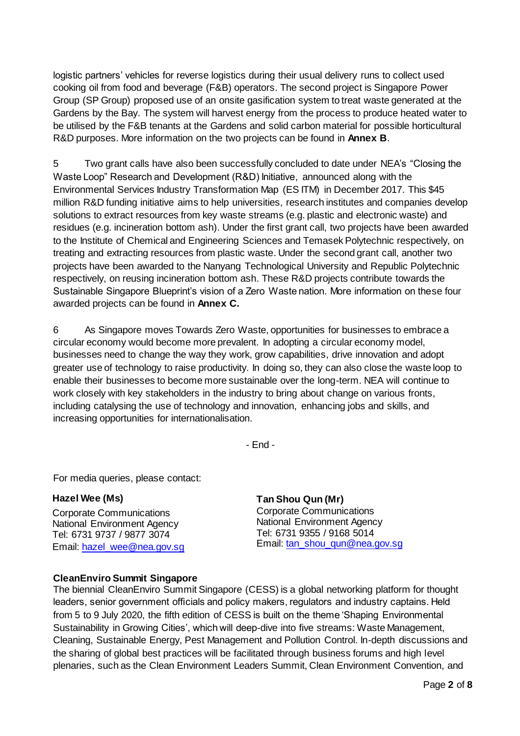logistic partners' vehicles for reverse logistics during their usual delivery runs to collect used cooking oil from food and beverage (F&B) operators. The second project is Singapore Power Group (SP Group) proposed use of an onsite gasification system to treat waste generated at the Gardens by the Bay. The system will harvest energy from the process to produce heated water to be utilised by the F&B tenants at the Gardens and solid carbon material for possible horticultural R&D purposes. More information on the two projects can be found in **Annex B**.

5 Two grant calls have also been successfully concluded to date under NEA's "Closing the Waste Loop" Research and Development (R&D) Initiative, announced along with the Environmental Services Industry Transformation Map (ES ITM) in December 2017. This \$45 million R&D funding initiative aims to help universities, research institutes and companies develop solutions to extract resources from key waste streams (e.g. plastic and electronic waste) and residues (e.g. incineration bottom ash). Under the first grant call, two projects have been awarded to the Institute of Chemical and Engineering Sciences and Temasek Polytechnic respectively, on treating and extracting resources from plastic waste. Under the second grant call, another two projects have been awarded to the Nanyang Technological University and Republic Polytechnic respectively, on reusing incineration bottom ash. These R&D projects contribute towards the Sustainable Singapore Blueprint's vision of a Zero Waste nation. More information on these four awarded projects can be found in **Annex C.**

6 As Singapore moves Towards Zero Waste, opportunities for businesses to embrace a circular economy would become more prevalent. In adopting a circular economy model, businesses need to change the way they work, grow capabilities, drive innovation and adopt greater use of technology to raise productivity. In doing so, they can also close the waste loop to enable their businesses to become more sustainable over the long-term. NEA will continue to work closely with key stakeholders in the industry to bring about change on various fronts, including catalysing the use of technology and innovation, enhancing jobs and skills, and increasing opportunities for internationalisation.

- End -

For media queries, please contact:

#### **Hazel Wee (Ms)**

Corporate Communications National Environment Agency Tel: 6731 9737 / 9877 3074 Email: [hazel\\_wee@nea.gov.sg](mailto:hazel_wee@nea.gov.sg) **Tan Shou Qun (Mr)**  Corporate Communications National Environment Agency Tel: 6731 9355 / 9168 5014 Email: [tan\\_shou\\_qun@nea.gov.sg](mailto:tan_shou_qun@nea.gov.sg)

## **CleanEnviro Summit Singapore**

The biennial CleanEnviro Summit Singapore (CESS) is a global networking platform for thought leaders, senior government officials and policy makers, regulators and industry captains. Held from 5 to 9 July 2020, the fifth edition of CESS is built on the theme 'Shaping Environmental Sustainability in Growing Cities', which will deep-dive into five streams: Waste Management, Cleaning, Sustainable Energy, Pest Management and Pollution Control. In-depth discussions and the sharing of global best practices will be facilitated through business forums and high level plenaries, such as the Clean Environment Leaders Summit, Clean Environment Convention, and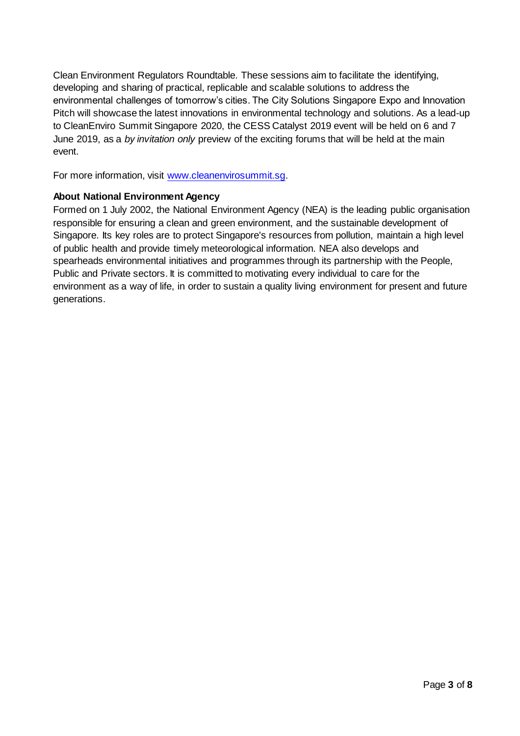Clean Environment Regulators Roundtable. These sessions aim to facilitate the identifying, developing and sharing of practical, replicable and scalable solutions to address the environmental challenges of tomorrow's cities. The City Solutions Singapore Expo and Innovation Pitch will showcase the latest innovations in environmental technology and solutions. As a lead-up to CleanEnviro Summit Singapore 2020, the CESS Catalyst 2019 event will be held on 6 and 7 June 2019, as a *by invitation only* preview of the exciting forums that will be held at the main event.

For more information, visit [www.cleanenvirosummit.sg.](http://www.cleanenvirosummit.sg/)

#### **About National Environment Agency**

Formed on 1 July 2002, the National Environment Agency (NEA) is the leading public organisation responsible for ensuring a clean and green environment, and the sustainable development of Singapore. Its key roles are to protect Singapore's resources from pollution, maintain a high level of public health and provide timely meteorological information. NEA also develops and spearheads environmental initiatives and programmes through its partnership with the People, Public and Private sectors. It is committed to motivating every individual to care for the environment as a way of life, in order to sustain a quality living environment for present and future generations.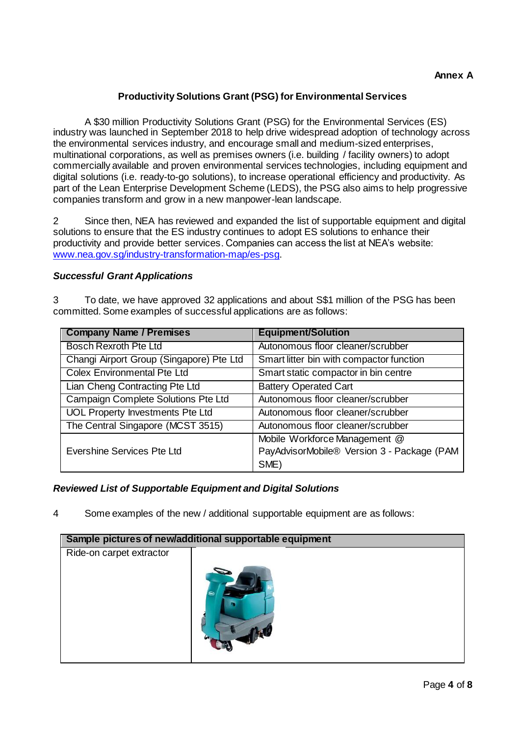# **Productivity Solutions Grant (PSG) for Environmental Services**

A \$30 million Productivity Solutions Grant (PSG) for the Environmental Services (ES) industry was launched in September 2018 to help drive widespread adoption of technology across the environmental services industry, and encourage small and medium-sized enterprises, multinational corporations, as well as premises owners (i.e. building / facility owners) to adopt commercially available and proven environmental services technologies, including equipment and digital solutions (i.e. ready-to-go solutions), to increase operational efficiency and productivity. As part of the Lean Enterprise Development Scheme (LEDS), the PSG also aims to help progressive companies transform and grow in a new manpower-lean landscape.

2 Since then, NEA has reviewed and expanded the list of supportable equipment and digital solutions to ensure that the ES industry continues to adopt ES solutions to enhance their productivity and provide better services. Companies can access the list at NEA's website: [www.nea.gov.sg/industry-transformation-map/es-psg.](http://www.nea.gov.sg/industry-transformation-map/es-psg)

#### *Successful Grant Applications*

3 To date, we have approved 32 applications and about S\$1 million of the PSG has been committed. Some examples of successful applications are as follows:

| <b>Company Name / Premises</b>           | <b>Equipment/Solution</b>                  |
|------------------------------------------|--------------------------------------------|
| <b>Bosch Rexroth Pte Ltd</b>             | Autonomous floor cleaner/scrubber          |
| Changi Airport Group (Singapore) Pte Ltd | Smart litter bin with compactor function   |
| <b>Colex Environmental Pte Ltd</b>       | Smart static compactor in bin centre       |
| Lian Cheng Contracting Pte Ltd           | <b>Battery Operated Cart</b>               |
| Campaign Complete Solutions Pte Ltd      | Autonomous floor cleaner/scrubber          |
| <b>UOL Property Investments Pte Ltd</b>  | Autonomous floor cleaner/scrubber          |
| The Central Singapore (MCST 3515)        | Autonomous floor cleaner/scrubber          |
|                                          | Mobile Workforce Management @              |
| Evershine Services Pte Ltd               | PayAdvisorMobile® Version 3 - Package (PAM |
|                                          | SME)                                       |

## *Reviewed List of Supportable Equipment and Digital Solutions*

4 Some examples of the new / additional supportable equipment are as follows:

| Sample pictures of new/additional supportable equipment |  |  |  |
|---------------------------------------------------------|--|--|--|
| Ride-on carpet extractor                                |  |  |  |
|                                                         |  |  |  |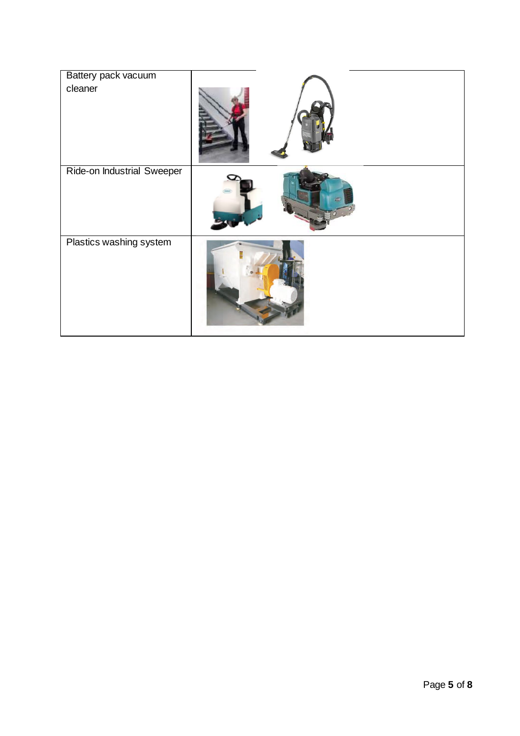| Battery pack vacuum<br>cleaner    |  |
|-----------------------------------|--|
| <b>Ride-on Industrial Sweeper</b> |  |
| Plastics washing system           |  |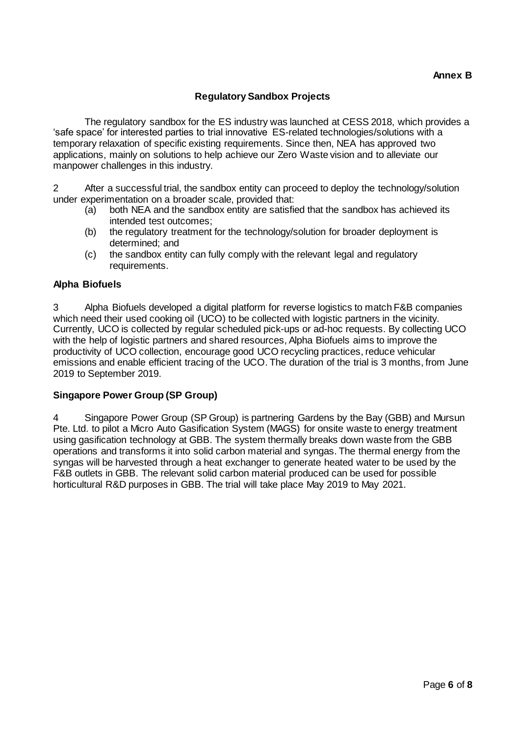#### **Regulatory Sandbox Projects**

The regulatory sandbox for the ES industry was launched at CESS 2018, which provides a 'safe space' for interested parties to trial innovative ES-related technologies/solutions with a temporary relaxation of specific existing requirements. Since then, NEA has approved two applications, mainly on solutions to help achieve our Zero Waste vision and to alleviate our manpower challenges in this industry.

2 After a successful trial, the sandbox entity can proceed to deploy the technology/solution under experimentation on a broader scale, provided that:

- (a) both NEA and the sandbox entity are satisfied that the sandbox has achieved its intended test outcomes;
- (b) the regulatory treatment for the technology/solution for broader deployment is determined; and
- (c) the sandbox entity can fully comply with the relevant legal and regulatory requirements.

#### **Alpha Biofuels**

3 Alpha Biofuels developed a digital platform for reverse logistics to match F&B companies which need their used cooking oil (UCO) to be collected with logistic partners in the vicinity. Currently, UCO is collected by regular scheduled pick-ups or ad-hoc requests. By collecting UCO with the help of logistic partners and shared resources, Alpha Biofuels aims to improve the productivity of UCO collection, encourage good UCO recycling practices, reduce vehicular emissions and enable efficient tracing of the UCO. The duration of the trial is 3 months, from June 2019 to September 2019.

#### **Singapore Power Group (SP Group)**

4 Singapore Power Group (SP Group) is partnering Gardens by the Bay (GBB) and Mursun Pte. Ltd. to pilot a Micro Auto Gasification System (MAGS) for onsite waste to energy treatment using gasification technology at GBB. The system thermally breaks down waste from the GBB operations and transforms it into solid carbon material and syngas. The thermal energy from the syngas will be harvested through a heat exchanger to generate heated water to be used by the F&B outlets in GBB. The relevant solid carbon material produced can be used for possible horticultural R&D purposes in GBB. The trial will take place May 2019 to May 2021.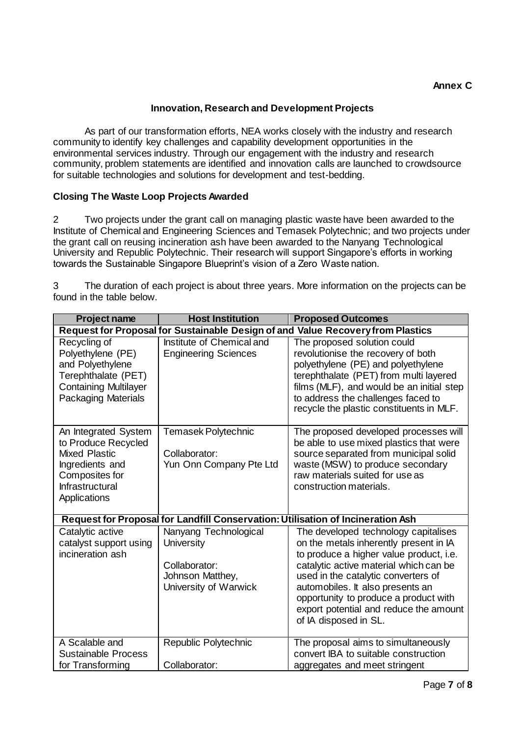## **Innovation, Research and Development Projects**

As part of our transformation efforts, NEA works closely with the industry and research community to identify key challenges and capability development opportunities in the environmental services industry. Through our engagement with the industry and research community, problem statements are identified and innovation calls are launched to crowdsource for suitable technologies and solutions for development and test-bedding.

## **Closing The Waste Loop Projects Awarded**

2 Two projects under the grant call on managing plastic waste have been awarded to the Institute of Chemical and Engineering Sciences and Temasek Polytechnic; and two projects under the grant call on reusing incineration ash have been awarded to the Nanyang Technological University and Republic Polytechnic. Their research will support Singapore's efforts in working towards the Sustainable Singapore Blueprint's vision of a Zero Waste nation.

3 The duration of each project is about three years. More information on the projects can be found in the table below.

| <b>Project name</b>                                                                                                                         | <b>Host Institution</b>                                                                                  | <b>Proposed Outcomes</b>                                                                                                                                                                                                                                                                                                                                   |  |  |  |
|---------------------------------------------------------------------------------------------------------------------------------------------|----------------------------------------------------------------------------------------------------------|------------------------------------------------------------------------------------------------------------------------------------------------------------------------------------------------------------------------------------------------------------------------------------------------------------------------------------------------------------|--|--|--|
|                                                                                                                                             | Request for Proposal for Sustainable Design of and Value Recovery from Plastics                          |                                                                                                                                                                                                                                                                                                                                                            |  |  |  |
| Recycling of<br>Polyethylene (PE)<br>and Polyethylene<br>Terephthalate (PET)<br><b>Containing Multilayer</b><br><b>Packaging Materials</b>  | Institute of Chemical and<br><b>Engineering Sciences</b>                                                 | The proposed solution could<br>revolutionise the recovery of both<br>polyethylene (PE) and polyethylene<br>terephthalate (PET) from multi layered<br>films (MLF), and would be an initial step<br>to address the challenges faced to<br>recycle the plastic constituents in MLF.                                                                           |  |  |  |
| An Integrated System<br>to Produce Recycled<br><b>Mixed Plastic</b><br>Ingredients and<br>Composites for<br>Infrastructural<br>Applications | Temasek Polytechnic<br>Collaborator:<br>Yun Onn Company Pte Ltd                                          | The proposed developed processes will<br>be able to use mixed plastics that were<br>source separated from municipal solid<br>waste (MSW) to produce secondary<br>raw materials suited for use as<br>construction materials.                                                                                                                                |  |  |  |
|                                                                                                                                             | Request for Proposal for Landfill Conservation: Utilisation of Incineration Ash                          |                                                                                                                                                                                                                                                                                                                                                            |  |  |  |
| Catalytic active<br>catalyst support using<br>incineration ash                                                                              | Nanyang Technological<br><b>University</b><br>Collaborator:<br>Johnson Matthey,<br>University of Warwick | The developed technology capitalises<br>on the metals inherently present in IA<br>to produce a higher value product, i.e.<br>catalytic active material which can be<br>used in the catalytic converters of<br>automobiles. It also presents an<br>opportunity to produce a product with<br>export potential and reduce the amount<br>of IA disposed in SL. |  |  |  |
| A Scalable and<br><b>Sustainable Process</b><br>for Transforming                                                                            | Republic Polytechnic<br>Collaborator:                                                                    | The proposal aims to simultaneously<br>convert IBA to suitable construction<br>aggregates and meet stringent                                                                                                                                                                                                                                               |  |  |  |